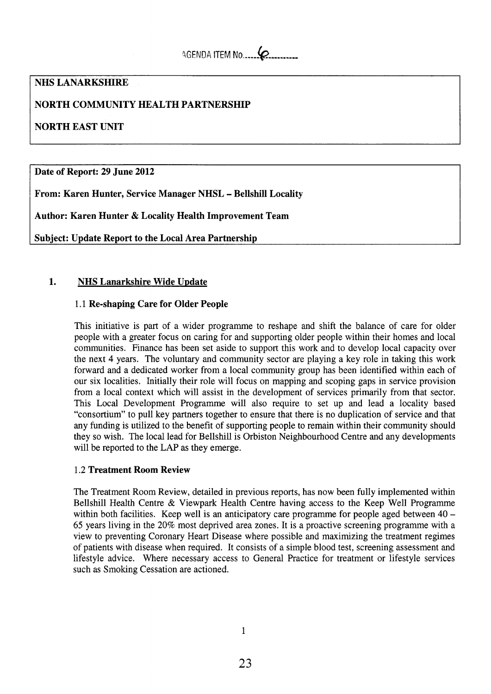# **NHS LANARKSHIRE**

# **NORTH COMMUNITY HEALTH PARTNERSHIP**

# **NORTH EAST UNIT**

**Date of Report: 29 June 2012** 

**From: Karen Hunter, Service Manager NHSL** - **Bellshill Locality** 

**Author: Karen Hunter** & **Locality Health Improvement Team** 

**Subject: Update Report to the Local Area Partnership** 

# **1. NHS Lanarkshire Wide Update**

# 1.1 **Re-shaping Care for Older People**

This initiative is part of a wider programme to reshape and shift the balance of care for older people with a greater focus on caring for and supporting older people within their homes and local communities. Finance has been set aside to support this work and to develop local capacity over the next 4 years. The voluntary and community sector are playing a key role in taking this work forward and a dedicated worker from a local community group has been identified within each of our six localities. Initially their role will focus on mapping and scoping gaps in service provision from a local context which will assist in the development of services primarily from that sector. This Local Development Programme will also require to set up and lead a locality based "consortium" to pull key partners together to ensure that there is no duplication of service and that any funding is utilized to the benefit of supporting people to remain within their community should they so wish. The local lead for Bellshill is Orbiston Neighbourhood Centre and any developments will be reported to the LAP as they emerge.

## 1.2 **Treatment Room Review**

The Treatment Room Review, detailed in previous reports, has now been fully implemented within Bellshill Health Centre & Viewpark Health Centre having access to the Keep Well Programme within both facilities. Keep well is an anticipatory care programme for people aged between 40 -65 years living in the 20% most deprived area zones. It is a proactive screening programme with a view to preventing Coronary Heart Disease where possible and maximizing the treatment regimes of patients with disease when required. It consists of a simple blood test, screening assessment and lifestyle advice. Where necessary access to General Practice for treatment or lifestyle services such **as** Smoking Cessation are actioned.

1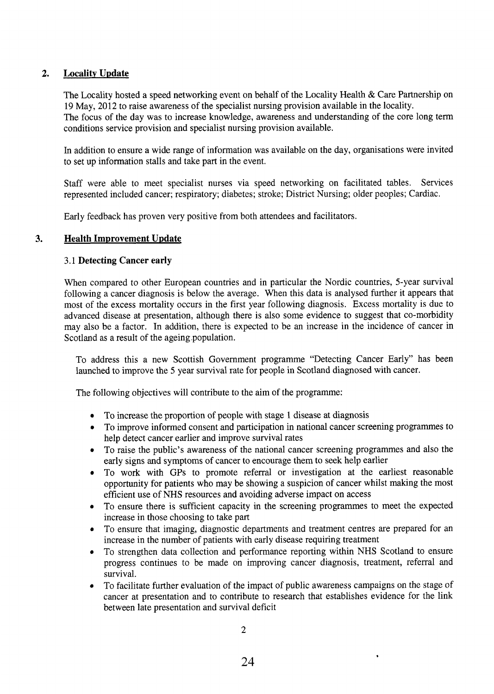# 2. Locality Update

The Locality hosted a speed networking event on behalf of the Locality Health & Care Partnership on 19 May, 2012 to raise awareness of the specialist nursing provision available in the locality. The focus of the day was to increase knowledge, awareness and understanding of the core long term conditions service provision and specialist nursing provision available.

In addition to ensure a wide range of information was available on the day, organisations were invited to set up information stalls and take part in the event.

Staff were able to meet specialist nurses via speed networking on facilitated tables. Services represented included cancer; respiratory; diabetes; stroke; District Nursing; older peoples; Cardiac.

Early feedback has proven very positive from both attendees and facilitators.

## **3. Health Improvement Update**

#### 3.1 **Detecting Cancer early**

When compared to other European countries and in particular the Nordic countries, 5-year survival following a cancer diagnosis is below the average. When this data is analysed further it appears that most of the excess mortality occurs in the first year following diagnosis. Excess mortality is due to advanced disease at presentation, although there is also some evidence to suggest that co-morbidity may also be a factor. In addition, there is expected to be an increase in the incidence of cancer in Scotland as a result of the ageing population.

To address this a new Scottish Government programme "Detecting Cancer Early" has been launched to improve the 5 year survival rate for people in Scotland diagnosed with cancer.

The following objectives will contribute to the aim of the programme:

- **e**  To increase the proportion of people with stage 1 disease at diagnosis
- *0*  To improve informed consent and participation in national cancer screening programmes to help detect cancer earlier and improve survival rates
- To raise the public's awareness of the national cancer screening programmes and also the  $\bullet$ early signs and symptoms of cancer to encourage them to **seek** help earlier
- **e**  To work with GPs to promote referral or investigation at the earliest reasonable opportunity for patients who may be showing a suspicion of cancer whilst making the most efficient use of NHS resources and avoiding adverse impact on access
- To ensure there is sufficient capacity in the screening programmes to meet the expected  $\bullet$ increase in those choosing to take part
- To ensure that imaging, diagnostic departments and treatment centres are prepared for an increase in the number of patients with early disease requiring treatment
- To strengthen data collection and performance reporting within NHS Scotland to ensure progress continues to be made on improving cancer diagnosis, treatment, referral and survival.
- To facilitate further evaluation of the impact of public awareness campaigns on the stage of cancer at presentation and to contribute to research that establishes evidence for the link between late presentation and survival deficit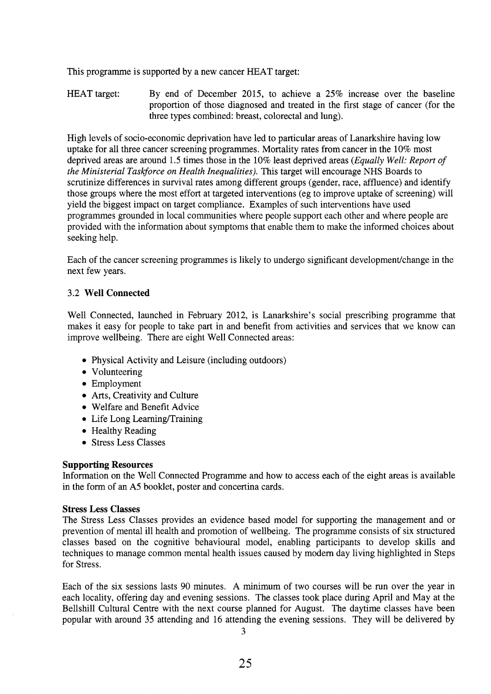This programme is supported by a new cancer HEAT target:

HEAT target: By end of December 2015, to achieve a 25% increase over the baseline proportion of those diagnosed and treated in the first stage of cancer (for the three types combined: breast, colorectal and lung).

High levels of socio-economic deprivation have led to particular areas of Lanarkshire having low uptake for all three cancer screening programmes. Mortality rates from cancer in the 10% most deprived areas are around 1.5 times those in the 10% least deprived areas *(Equally Well: Report of the Ministerial Taskforce on Health Inequalities).* This target will encourage NHS Boards to scrutinize differences in survival rates among different groups (gender, race, affluence) and identify those groups where the most effort at targeted interventions (eg to improve uptake of screening) will yield the biggest impact on target compliance. Examples of such interventions have used programmes grounded in local communities where people support each other and where people are provided with the information about symptoms that enable them to make the informed choices about seeking help.

Each of the cancer screening programmes is likely to undergo significant development/change in the next few years.

## *3.2* **Well Connected**

Well Connected, launched in February 2012, is Lanarkshire's social prescribing programme that makes it easy for people to take part in and benefit from activities and services that we know can improve wellbeing. There are eight Well Connected areas:

- Physical Activity and Leisure (including outdoors)
- Volunteering
- Employment
- Arts, Creativity and Culture
- Welfare and Benefit Advice
- Life Long Learning/Training
- Healthy Reading
- Stress Less Classes

## **Supporting Resources**

Information on the Well Connected Programme and how to access each of the eight areas is available in the form of an A5 booklet, poster and concertina cards.

## **Stress Less Classes**

The Stress Less Classes provides an evidence based model for supporting the management and or prevention of mental ill health and promotion of wellbeing. The programme consists of six structured classes based on the cognitive behavioural model, enabling participants to develop skills and techniques to manage common mental health issues caused by modem day living highlighted in Steps for Stress.

Each of the six sessions lasts 90 minutes. A minimum of two courses will be run over the year in each locality, offering day and evening sessions. The classes took place during April and May at the Bellshill Cultural Centre with the next course planned for August. The daytime classes have been popular with around 35 attending and 16 attending the evening sessions. They will be delivered by